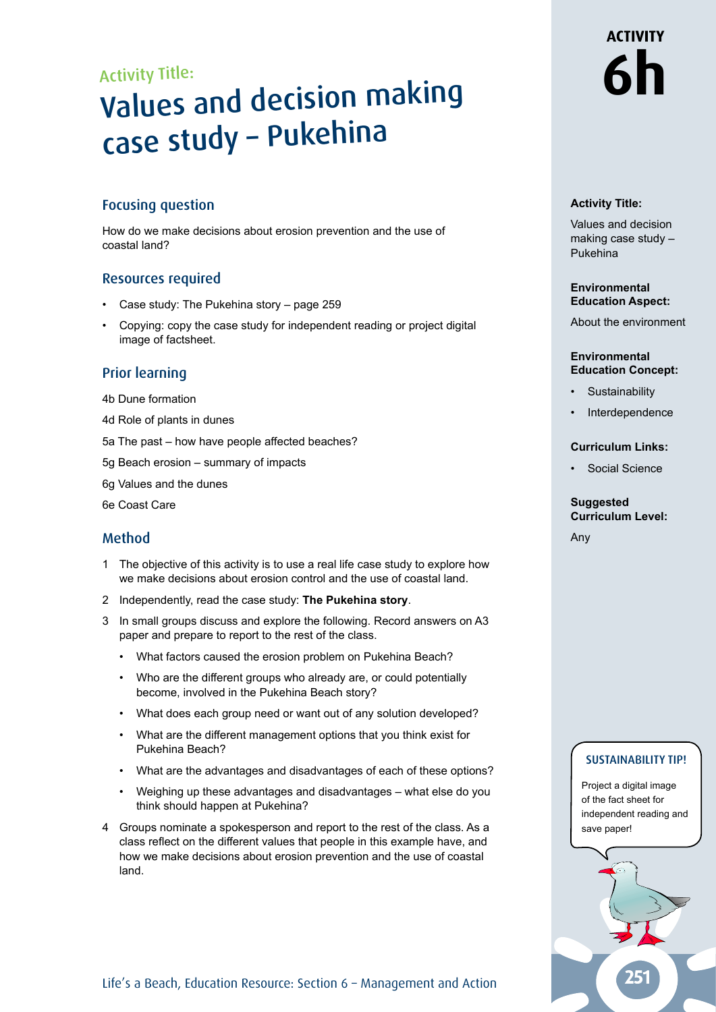### Activity Title:

# Values and decision making case study – Pukehina

#### Focusing question

How do we make decisions about erosion prevention and the use of coastal land?

#### Resources required

- Case study: The Pukehina story page 259
- Copying: copy the case study for independent reading or project digital image of factsheet.

#### Prior learning

- 4b Dune formation
- 4d Role of plants in dunes
- 5a The past how have people affected beaches?
- 5g Beach erosion summary of impacts
- 6g Values and the dunes
- 6e Coast Care

#### Method

- 1 The objective of this activity is to use a real life case study to explore how we make decisions about erosion control and the use of coastal land.
- 2 Independently, read the case study: **The Pukehina story**.
- 3 In small groups discuss and explore the following. Record answers on A3 paper and prepare to report to the rest of the class.
	- What factors caused the erosion problem on Pukehina Beach?
	- Who are the different groups who already are, or could potentially become, involved in the Pukehina Beach story?
	- What does each group need or want out of any solution developed?
	- What are the different management options that you think exist for Pukehina Beach?
	- What are the advantages and disadvantages of each of these options?
	- Weighing up these advantages and disadvantages what else do you think should happen at Pukehina?
- 4 Groups nominate a spokesperson and report to the rest of the class. As a class reflect on the different values that people in this example have, and how we make decisions about erosion prevention and the use of coastal land.

# **ACTIVITY 6h**

#### **Activity Title:**

Values and decision making case study – Pukehina

#### **Environmental Education Aspect:**

About the environment

#### **Environmental Education Concept:**

- **Sustainability**
- **Interdependence**

#### **Curriculum Links:**

Social Science

#### **Suggested Curriculum Level:**

Any

#### SUSTAINABILITY TIP!

Project a digital image of the fact sheet for independent reading and save paper!



Life's a Beach, Education Resource: Section 6 - Management and Action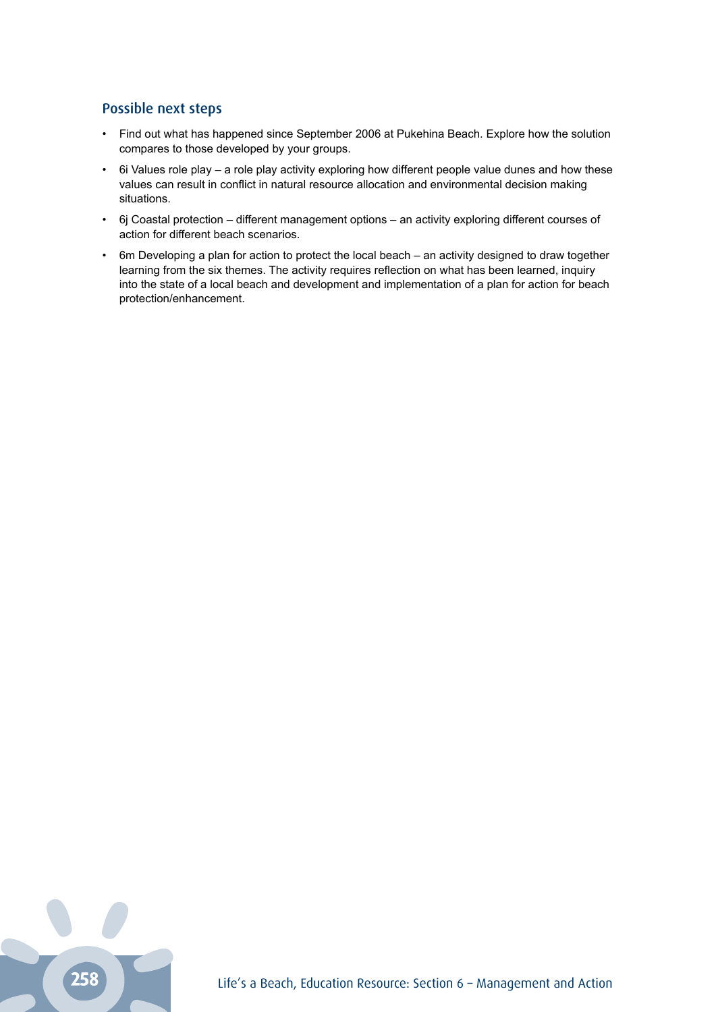#### Possible next steps

- Find out what has happened since September 2006 at Pukehina Beach. Explore how the solution compares to those developed by your groups.
- 6i Values role play a role play activity exploring how different people value dunes and how these values can result in conflict in natural resource allocation and environmental decision making situations.
- 6j Coastal protection different management options an activity exploring different courses of action for different beach scenarios.
- 6m Developing a plan for action to protect the local beach an activity designed to draw together learning from the six themes. The activity requires reflection on what has been learned, inquiry into the state of a local beach and development and implementation of a plan for action for beach protection/enhancement.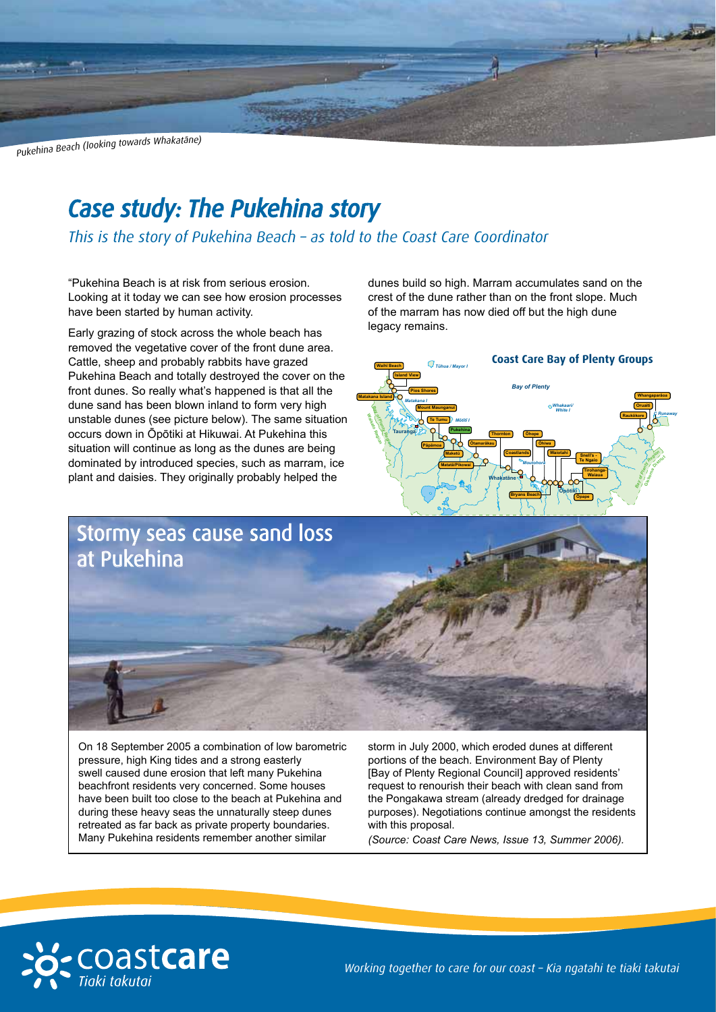Pukehina Beach (looking towards Whakatāne)

## *Case study: The Pukehina story*

*This is the story of Pukehina Beach – as told to the Coast Care Coordinator*

"Pukehina Beach is at risk from serious erosion. Looking at it today we can see how erosion processes have been started by human activity.

Early grazing of stock across the whole beach has removed the vegetative cover of the front dune area. Cattle, sheep and probably rabbits have grazed Pukehina Beach and totally destroyed the cover on the front dunes. So really what's happened is that all the dune sand has been blown inland to form very high unstable dunes (see picture below). The same situation occurs down in Ōpōtiki at Hikuwai. At Pukehina this situation will continue as long as the dunes are being dominated by introduced species, such as marram, ice plant and daisies. They originally probably helped the

dunes build so high. Marram accumulates sand on the crest of the dune rather than on the front slope. Much of the marram has now died off but the high dune legacy remains.





On 18 September 2005 a combination of low barometric pressure, high King tides and a strong easterly swell caused dune erosion that left many Pukehina beachfront residents very concerned. Some houses have been built too close to the beach at Pukehina and during these heavy seas the unnaturally steep dunes retreated as far back as private property boundaries. Many Pukehina residents remember another similar

storm in July 2000, which eroded dunes at different portions of the beach. Environment Bay of Plenty [Bay of Plenty Regional Council] approved residents' request to renourish their beach with clean sand from the Pongakawa stream (already dredged for drainage purposes). Negotiations continue amongst the residents with this proposal.

*(Source: Coast Care News, Issue 13, Summer 2006).*



*Working together to care for our coast – Kia ngatahi te tiaki takutai*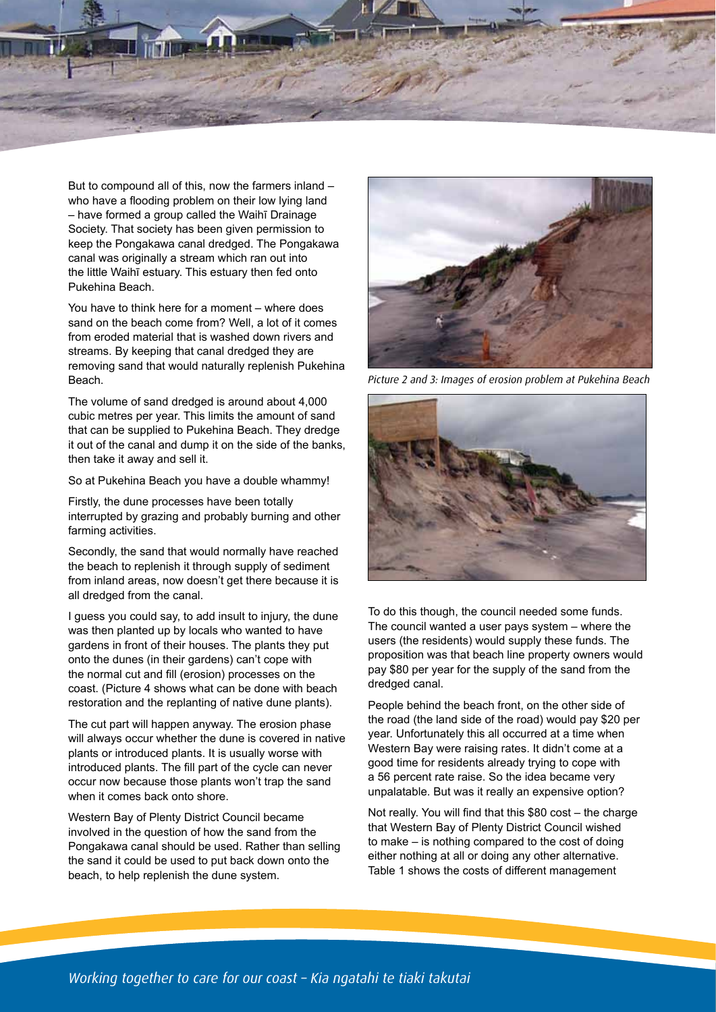

But to compound all of this, now the farmers inland – who have a flooding problem on their low lying land – have formed a group called the Waihī Drainage Society. That society has been given permission to keep the Pongakawa canal dredged. The Pongakawa canal was originally a stream which ran out into the little Waihī estuary. This estuary then fed onto Pukehina Beach.

You have to think here for a moment – where does sand on the beach come from? Well, a lot of it comes from eroded material that is washed down rivers and streams. By keeping that canal dredged they are removing sand that would naturally replenish Pukehina Beach.

The volume of sand dredged is around about 4,000 cubic metres per year. This limits the amount of sand that can be supplied to Pukehina Beach. They dredge it out of the canal and dump it on the side of the banks, then take it away and sell it.

So at Pukehina Beach you have a double whammy!

Firstly, the dune processes have been totally interrupted by grazing and probably burning and other farming activities.

Secondly, the sand that would normally have reached the beach to replenish it through supply of sediment from inland areas, now doesn't get there because it is all dredged from the canal.

I guess you could say, to add insult to injury, the dune was then planted up by locals who wanted to have gardens in front of their houses. The plants they put onto the dunes (in their gardens) can't cope with the normal cut and fill (erosion) processes on the coast. (Picture 4 shows what can be done with beach restoration and the replanting of native dune plants).

The cut part will happen anyway. The erosion phase will always occur whether the dune is covered in native plants or introduced plants. It is usually worse with introduced plants. The fill part of the cycle can never occur now because those plants won't trap the sand when it comes back onto shore.

Western Bay of Plenty District Council became involved in the question of how the sand from the Pongakawa canal should be used. Rather than selling the sand it could be used to put back down onto the beach, to help replenish the dune system.



*Picture 2 and 3: Images of erosion problem at Pukehina Beach*



To do this though, the council needed some funds. The council wanted a user pays system – where the users (the residents) would supply these funds. The proposition was that beach line property owners would pay \$80 per year for the supply of the sand from the dredged canal.

People behind the beach front, on the other side of the road (the land side of the road) would pay \$20 per year. Unfortunately this all occurred at a time when Western Bay were raising rates. It didn't come at a good time for residents already trying to cope with a 56 percent rate raise. So the idea became very unpalatable. But was it really an expensive option?

Not really. You will find that this \$80 cost – the charge that Western Bay of Plenty District Council wished to make – is nothing compared to the cost of doing either nothing at all or doing any other alternative. Table 1 shows the costs of different management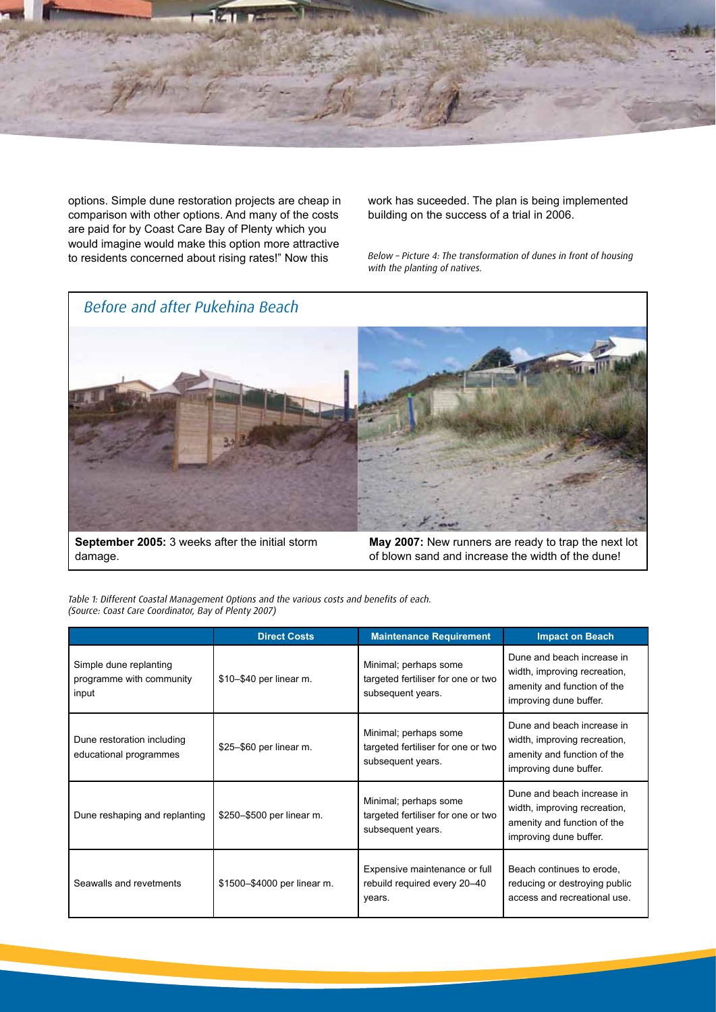

options. Simple dune restoration projects are cheap in comparison with other options. And many of the costs are paid for by Coast Care Bay of Plenty which you would imagine would make this option more attractive to residents concerned about rising rates!" Now this

work has suceeded. The plan is being implemented building on the success of a trial in 2006.

*Below – Picture 4: The transformation of dunes in front of housing with the planting of natives.*



**September 2005:** 3 weeks after the initial storm damage.

**May 2007:** New runners are ready to trap the next lot of blown sand and increase the width of the dune!

*Table 1: Different Coastal Management Options and the various costs and benefits of each. (Source: Coast Care Coordinator, Bay of Plenty 2007)*

|                                                             | <b>Direct Costs</b>         | <b>Maintenance Requirement</b>                                                   | <b>Impact on Beach</b>                                                                                              |
|-------------------------------------------------------------|-----------------------------|----------------------------------------------------------------------------------|---------------------------------------------------------------------------------------------------------------------|
| Simple dune replanting<br>programme with community<br>input | \$10-\$40 per linear m.     | Minimal; perhaps some<br>targeted fertiliser for one or two<br>subsequent years. | Dune and beach increase in<br>width, improving recreation,<br>amenity and function of the<br>improving dune buffer. |
| Dune restoration including<br>educational programmes        | \$25-\$60 per linear m.     | Minimal; perhaps some<br>targeted fertiliser for one or two<br>subsequent years. | Dune and beach increase in<br>width, improving recreation,<br>amenity and function of the<br>improving dune buffer. |
| Dune reshaping and replanting                               | \$250-\$500 per linear m.   | Minimal; perhaps some<br>targeted fertiliser for one or two<br>subsequent years. | Dune and beach increase in<br>width, improving recreation,<br>amenity and function of the<br>improving dune buffer. |
| Seawalls and revetments                                     | \$1500-\$4000 per linear m. | Expensive maintenance or full<br>rebuild required every 20-40<br>years.          | Beach continues to erode,<br>reducing or destroying public<br>access and recreational use.                          |